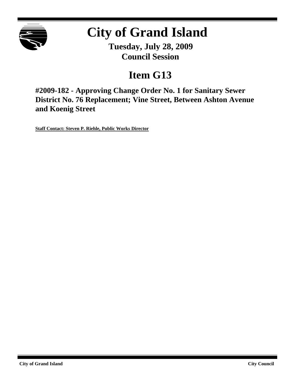

# **City of Grand Island**

**Tuesday, July 28, 2009 Council Session**

## **Item G13**

**#2009-182 - Approving Change Order No. 1 for Sanitary Sewer District No. 76 Replacement; Vine Street, Between Ashton Avenue and Koenig Street**

**Staff Contact: Steven P. Riehle, Public Works Director**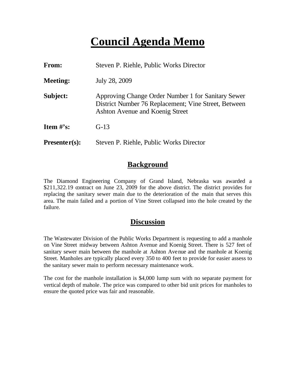### **Council Agenda Memo**

| From:           | Steven P. Riehle, Public Works Director                                                                                                       |  |  |
|-----------------|-----------------------------------------------------------------------------------------------------------------------------------------------|--|--|
| <b>Meeting:</b> | July 28, 2009                                                                                                                                 |  |  |
| Subject:        | Approving Change Order Number 1 for Sanitary Sewer<br>District Number 76 Replacement; Vine Street, Between<br>Ashton Avenue and Koenig Street |  |  |
| Item $\#$ 's:   | $G-13$                                                                                                                                        |  |  |
| $Presenter(s):$ | Steven P. Riehle, Public Works Director                                                                                                       |  |  |

#### **Background**

The Diamond Engineering Company of Grand Island, Nebraska was awarded a \$211,322.19 contract on June 23, 2009 for the above district. The district provides for replacing the sanitary sewer main due to the deterioration of the main that serves this area. The main failed and a portion of Vine Street collapsed into the hole created by the failure.

#### **Discussion**

The Wastewater Division of the Public Works Department is requesting to add a manhole on Vine Street midway between Ashton Avenue and Koenig Street. There is 527 feet of sanitary sewer main between the manhole at Ashton Avenue and the manhole at Koenig Street. Manholes are typically placed every 350 to 400 feet to provide for easier assess to the sanitary sewer main to perform necessary maintenance work.

The cost for the manhole installation is \$4,000 lump sum with no separate payment for vertical depth of mahole. The price was compared to other bid unit prices for manholes to ensure the quoted price was fair and reasonable.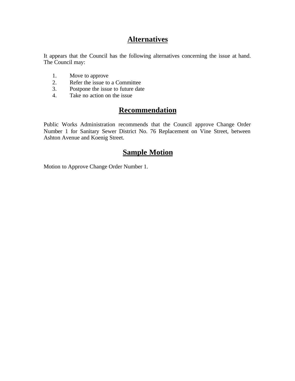### **Alternatives**

It appears that the Council has the following alternatives concerning the issue at hand. The Council may:

- 1. Move to approve
- 2. Refer the issue to a Committee<br>3. Postpone the issue to future date
- Postpone the issue to future date
- 4. Take no action on the issue

#### **Recommendation**

Public Works Administration recommends that the Council approve Change Order Number 1 for Sanitary Sewer District No. 76 Replacement on Vine Street, between Ashton Avenue and Koenig Street.

#### **Sample Motion**

Motion to Approve Change Order Number 1.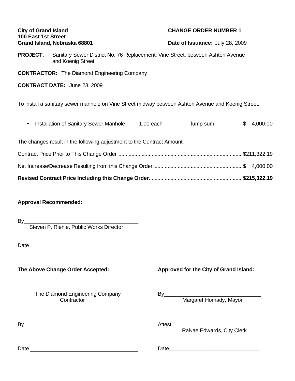| <b>City of Grand Island</b><br>100 East 1st Street<br>Grand Island, Nebraska 68801                 |                                                    | <b>CHANGE ORDER NUMBER 1</b><br>Date of Issuance: July 28, 2009                                |                                        |    |          |  |  |
|----------------------------------------------------------------------------------------------------|----------------------------------------------------|------------------------------------------------------------------------------------------------|----------------------------------------|----|----------|--|--|
|                                                                                                    | and Koenig Street                                  | <b>PROJECT:</b> Sanitary Sewer District No. 76 Replacement; Vine Street, between Ashton Avenue |                                        |    |          |  |  |
|                                                                                                    | <b>CONTRACTOR:</b> The Diamond Engineering Company |                                                                                                |                                        |    |          |  |  |
| <b>CONTRACT DATE:</b> June 23, 2009                                                                |                                                    |                                                                                                |                                        |    |          |  |  |
| To install a sanitary sewer manhole on Vine Street midway between Ashton Avenue and Koenig Street. |                                                    |                                                                                                |                                        |    |          |  |  |
|                                                                                                    | <b>Installation of Sanitary Sewer Manhole</b>      | $1.00$ each                                                                                    | lump sum                               | \$ | 4,000.00 |  |  |
| The changes result in the following adjustment to the Contract Amount:                             |                                                    |                                                                                                |                                        |    |          |  |  |
|                                                                                                    |                                                    |                                                                                                |                                        |    |          |  |  |
|                                                                                                    |                                                    |                                                                                                |                                        |    |          |  |  |
|                                                                                                    |                                                    |                                                                                                |                                        |    |          |  |  |
| <b>Approval Recommended:</b>                                                                       |                                                    |                                                                                                |                                        |    |          |  |  |
| By                                                                                                 | Steven P. Riehle, Public Works Director            |                                                                                                |                                        |    |          |  |  |
|                                                                                                    |                                                    |                                                                                                |                                        |    |          |  |  |
|                                                                                                    | The Above Change Order Accepted:                   |                                                                                                | Approved for the City of Grand Island: |    |          |  |  |
|                                                                                                    | The Diamond Engineering Company<br>Contractor      |                                                                                                | Margaret Hornady, Mayor                |    |          |  |  |

| -<br>B٧ | $\cdots$                     |
|---------|------------------------------|
|         | $\sim$<br>$ -$<br>$ -$<br>-- |

rgaret Hornady, May

RaNae Edwards, City Clerk

Date Date**\_\_\_\_\_\_\_\_\_\_\_\_\_\_\_\_\_\_\_\_\_\_\_\_\_\_\_\_\_\_\_**